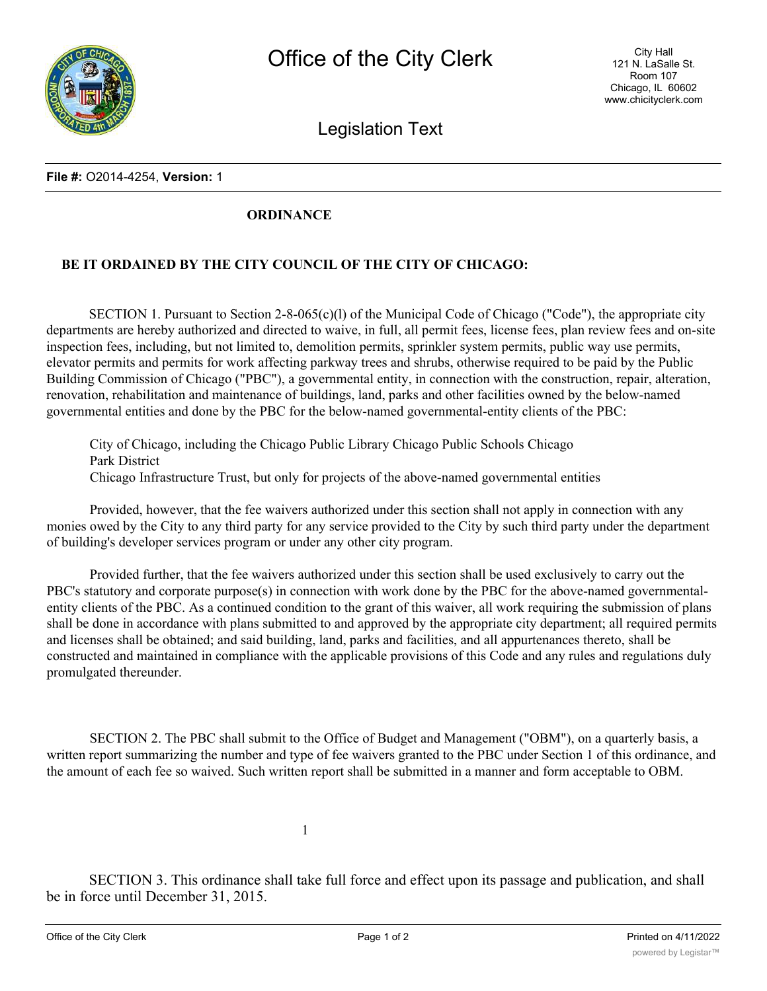

Legislation Text

## **File #:** O2014-4254, **Version:** 1

## **ORDINANCE**

## **BE IT ORDAINED BY THE CITY COUNCIL OF THE CITY OF CHICAGO:**

SECTION 1. Pursuant to Section 2-8-065(c)(l) of the Municipal Code of Chicago ("Code"), the appropriate city departments are hereby authorized and directed to waive, in full, all permit fees, license fees, plan review fees and on-site inspection fees, including, but not limited to, demolition permits, sprinkler system permits, public way use permits, elevator permits and permits for work affecting parkway trees and shrubs, otherwise required to be paid by the Public Building Commission of Chicago ("PBC"), a governmental entity, in connection with the construction, repair, alteration, renovation, rehabilitation and maintenance of buildings, land, parks and other facilities owned by the below-named governmental entities and done by the PBC for the below-named governmental-entity clients of the PBC:

City of Chicago, including the Chicago Public Library Chicago Public Schools Chicago Park District Chicago Infrastructure Trust, but only for projects of the above-named governmental entities

Provided, however, that the fee waivers authorized under this section shall not apply in connection with any monies owed by the City to any third party for any service provided to the City by such third party under the department of building's developer services program or under any other city program.

Provided further, that the fee waivers authorized under this section shall be used exclusively to carry out the PBC's statutory and corporate purpose(s) in connection with work done by the PBC for the above-named governmentalentity clients of the PBC. As a continued condition to the grant of this waiver, all work requiring the submission of plans shall be done in accordance with plans submitted to and approved by the appropriate city department; all required permits and licenses shall be obtained; and said building, land, parks and facilities, and all appurtenances thereto, shall be constructed and maintained in compliance with the applicable provisions of this Code and any rules and regulations duly promulgated thereunder.

SECTION 2. The PBC shall submit to the Office of Budget and Management ("OBM"), on a quarterly basis, a written report summarizing the number and type of fee waivers granted to the PBC under Section 1 of this ordinance, and the amount of each fee so waived. Such written report shall be submitted in a manner and form acceptable to OBM.

1

SECTION 3. This ordinance shall take full force and effect upon its passage and publication, and shall be in force until December 31, 2015.